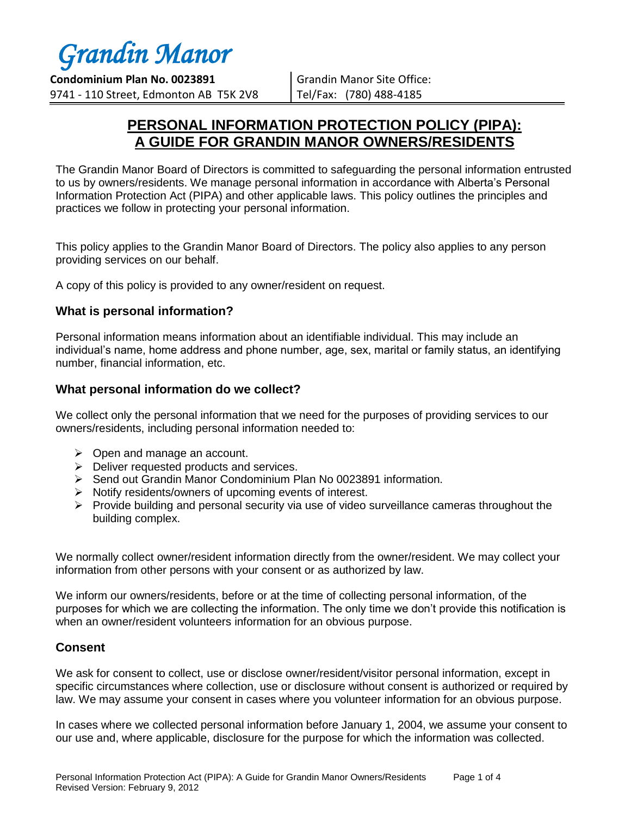**Condominium Plan No. 0023891** 9741 - 110 Street, Edmonton AB T5K 2V8

Grandin Manor Site Office: Tel/Fax: (780) 488-4185

### **PERSONAL INFORMATION PROTECTION POLICY (PIPA): A GUIDE FOR GRANDIN MANOR OWNERS/RESIDENTS**

The Grandin Manor Board of Directors is committed to safeguarding the personal information entrusted to us by owners/residents. We manage personal information in accordance with Alberta's Personal Information Protection Act (PIPA) and other applicable laws. This policy outlines the principles and practices we follow in protecting your personal information.

This policy applies to the Grandin Manor Board of Directors. The policy also applies to any person providing services on our behalf.

A copy of this policy is provided to any owner/resident on request.

### **What is personal information?**

Personal information means information about an identifiable individual. This may include an individual's name, home address and phone number, age, sex, marital or family status, an identifying number, financial information, etc.

### **What personal information do we collect?**

We collect only the personal information that we need for the purposes of providing services to our owners/residents, including personal information needed to:

- $\triangleright$  Open and manage an account.
- $\triangleright$  Deliver requested products and services.
- Send out Grandin Manor Condominium Plan No 0023891 information.
- $\triangleright$  Notify residents/owners of upcoming events of interest.
- $\triangleright$  Provide building and personal security via use of video surveillance cameras throughout the building complex.

We normally collect owner/resident information directly from the owner/resident. We may collect your information from other persons with your consent or as authorized by law.

We inform our owners/residents, before or at the time of collecting personal information, of the purposes for which we are collecting the information. The only time we don't provide this notification is when an owner/resident volunteers information for an obvious purpose.

#### **Consent**

We ask for consent to collect, use or disclose owner/resident/visitor personal information, except in specific circumstances where collection, use or disclosure without consent is authorized or required by law. We may assume your consent in cases where you volunteer information for an obvious purpose.

In cases where we collected personal information before January 1, 2004, we assume your consent to our use and, where applicable, disclosure for the purpose for which the information was collected.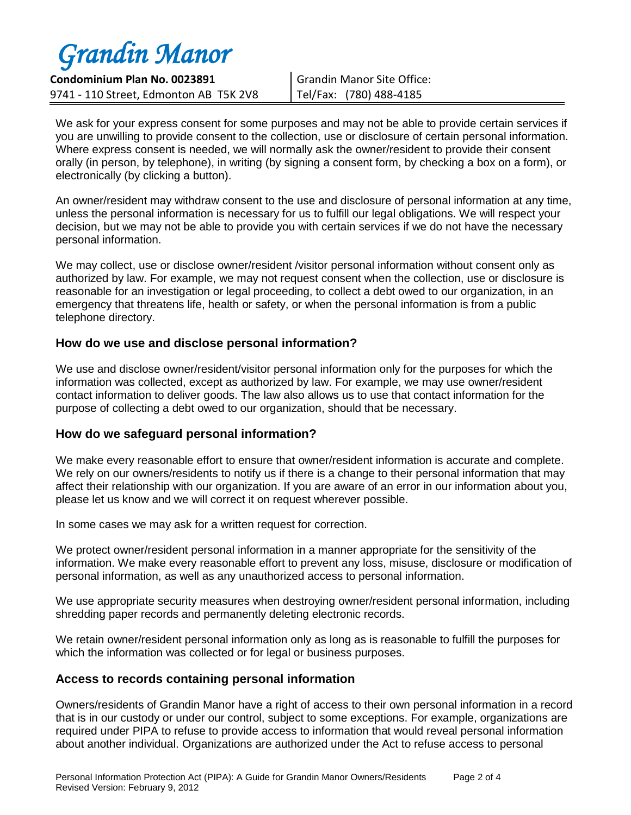**Condominium Plan No. 0023891** 9741 - 110 Street, Edmonton AB T5K 2V8

Grandin Manor Site Office: Tel/Fax: (780) 488-4185

We ask for your express consent for some purposes and may not be able to provide certain services if you are unwilling to provide consent to the collection, use or disclosure of certain personal information. Where express consent is needed, we will normally ask the owner/resident to provide their consent orally (in person, by telephone), in writing (by signing a consent form, by checking a box on a form), or electronically (by clicking a button).

An owner/resident may withdraw consent to the use and disclosure of personal information at any time, unless the personal information is necessary for us to fulfill our legal obligations. We will respect your decision, but we may not be able to provide you with certain services if we do not have the necessary personal information.

We may collect, use or disclose owner/resident /visitor personal information without consent only as authorized by law. For example, we may not request consent when the collection, use or disclosure is reasonable for an investigation or legal proceeding, to collect a debt owed to our organization, in an emergency that threatens life, health or safety, or when the personal information is from a public telephone directory.

#### **How do we use and disclose personal information?**

We use and disclose owner/resident/visitor personal information only for the purposes for which the information was collected, except as authorized by law. For example, we may use owner/resident contact information to deliver goods. The law also allows us to use that contact information for the purpose of collecting a debt owed to our organization, should that be necessary.

#### **How do we safeguard personal information?**

We make every reasonable effort to ensure that owner/resident information is accurate and complete. We rely on our owners/residents to notify us if there is a change to their personal information that may affect their relationship with our organization. If you are aware of an error in our information about you, please let us know and we will correct it on request wherever possible.

In some cases we may ask for a written request for correction.

We protect owner/resident personal information in a manner appropriate for the sensitivity of the information. We make every reasonable effort to prevent any loss, misuse, disclosure or modification of personal information, as well as any unauthorized access to personal information.

We use appropriate security measures when destroying owner/resident personal information, including shredding paper records and permanently deleting electronic records.

We retain owner/resident personal information only as long as is reasonable to fulfill the purposes for which the information was collected or for legal or business purposes.

### **Access to records containing personal information**

Owners/residents of Grandin Manor have a right of access to their own personal information in a record that is in our custody or under our control, subject to some exceptions. For example, organizations are required under PIPA to refuse to provide access to information that would reveal personal information about another individual. Organizations are authorized under the Act to refuse access to personal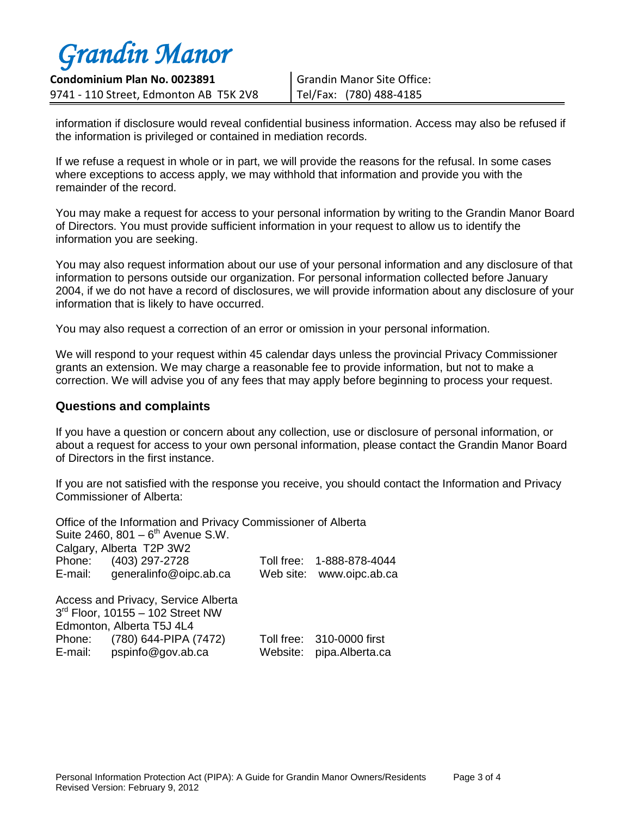**Condominium Plan No. 0023891** 9741 - 110 Street, Edmonton AB T5K 2V8

Grandin Manor Site Office: Tel/Fax: (780) 488-4185

information if disclosure would reveal confidential business information. Access may also be refused if the information is privileged or contained in mediation records.

If we refuse a request in whole or in part, we will provide the reasons for the refusal. In some cases where exceptions to access apply, we may withhold that information and provide you with the remainder of the record.

You may make a request for access to your personal information by writing to the Grandin Manor Board of Directors. You must provide sufficient information in your request to allow us to identify the information you are seeking.

You may also request information about our use of your personal information and any disclosure of that information to persons outside our organization. For personal information collected before January 2004, if we do not have a record of disclosures, we will provide information about any disclosure of your information that is likely to have occurred.

You may also request a correction of an error or omission in your personal information.

We will respond to your request within 45 calendar days unless the provincial Privacy Commissioner grants an extension. We may charge a reasonable fee to provide information, but not to make a correction. We will advise you of any fees that may apply before beginning to process your request.

#### **Questions and complaints**

If you have a question or concern about any collection, use or disclosure of personal information, or about a request for access to your own personal information, please contact the Grandin Manor Board of Directors in the first instance.

If you are not satisfied with the response you receive, you should contact the Information and Privacy Commissioner of Alberta:

|                                       | Office of the Information and Privacy Commissioner of Alberta |  |                           |  |
|---------------------------------------|---------------------------------------------------------------|--|---------------------------|--|
| Suite 2460, 801 $-6^{th}$ Avenue S.W. |                                                               |  |                           |  |
| Calgary, Alberta T2P 3W2              |                                                               |  |                           |  |
|                                       | Phone: (403) 297-2728                                         |  | Toll free: 1-888-878-4044 |  |
|                                       | E-mail: generalinfo@oipc.ab.ca                                |  | Web site: www.oipc.ab.ca  |  |
| Access and Privacy, Service Alberta   |                                                               |  |                           |  |
| 3rd Floor, 10155 - 102 Street NW      |                                                               |  |                           |  |
| Edmonton, Alberta T5J 4L4             |                                                               |  |                           |  |
|                                       | Phone: (780) 644-PIPA (7472)                                  |  | Toll free: 310-0000 first |  |
|                                       | E-mail: pspinfo@gov.ab.ca                                     |  | Website: pipa.Alberta.ca  |  |